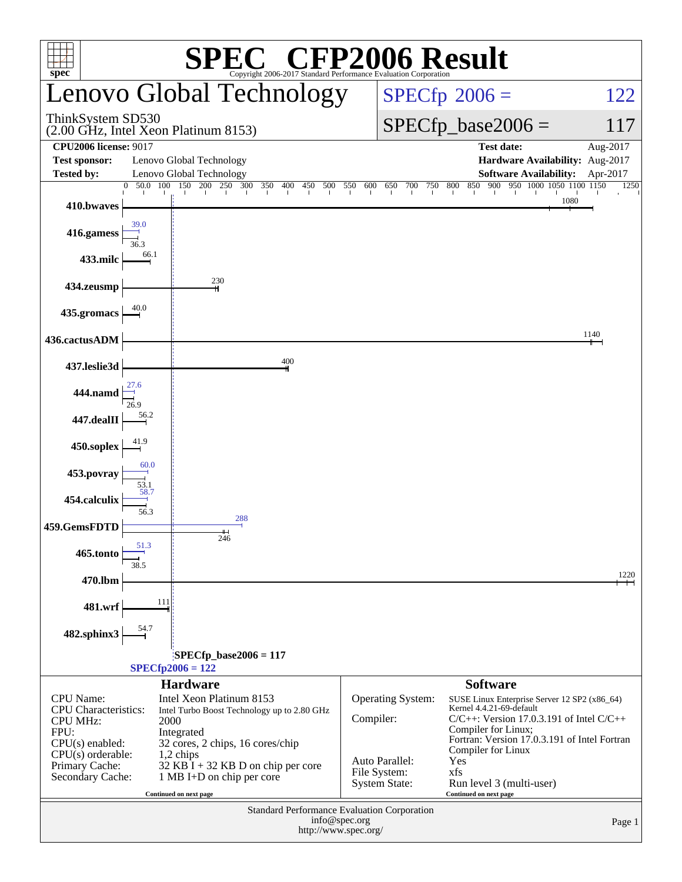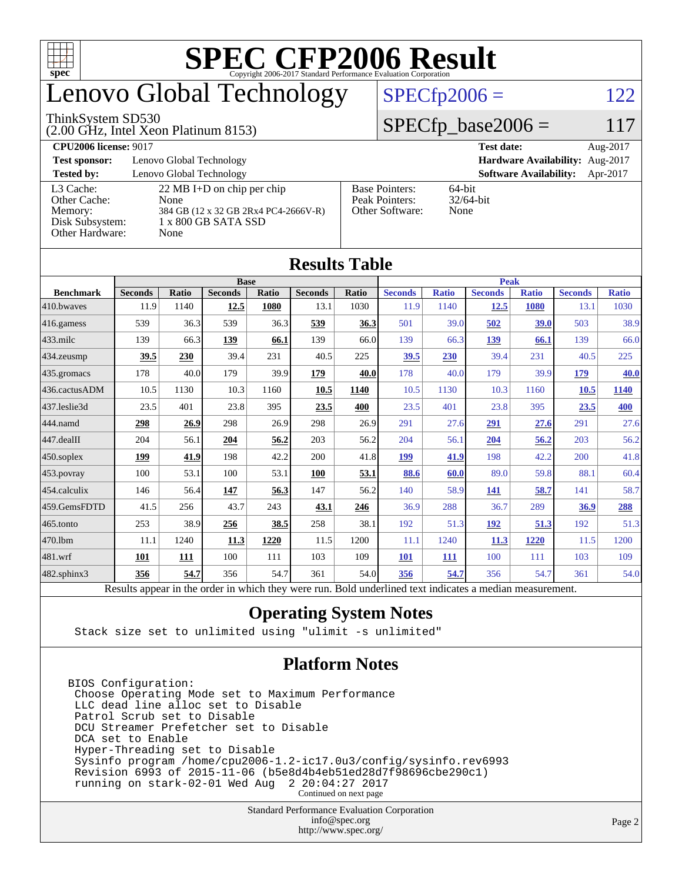

# enovo Global Technology

#### ThinkSystem SD530

(2.00 GHz, Intel Xeon Platinum 8153)

 $SPECfp2006 = 122$  $SPECfp2006 = 122$ 

#### $SPECfp\_base2006 = 117$

**[CPU2006 license:](http://www.spec.org/auto/cpu2006/Docs/result-fields.html#CPU2006license)** 9017 **[Test date:](http://www.spec.org/auto/cpu2006/Docs/result-fields.html#Testdate)** Aug-2017 **[Test sponsor:](http://www.spec.org/auto/cpu2006/Docs/result-fields.html#Testsponsor)** Lenovo Global Technology **[Hardware Availability:](http://www.spec.org/auto/cpu2006/Docs/result-fields.html#HardwareAvailability)** Aug-2017 **[Tested by:](http://www.spec.org/auto/cpu2006/Docs/result-fields.html#Testedby)** Lenovo Global Technology **[Software Availability:](http://www.spec.org/auto/cpu2006/Docs/result-fields.html#SoftwareAvailability)** Apr-2017 [L3 Cache:](http://www.spec.org/auto/cpu2006/Docs/result-fields.html#L3Cache) 22 MB I+D on chip per chip<br>Other Cache: None [Other Cache:](http://www.spec.org/auto/cpu2006/Docs/result-fields.html#OtherCache) [Memory:](http://www.spec.org/auto/cpu2006/Docs/result-fields.html#Memory) 384 GB (12 x 32 GB 2Rx4 PC4-2666V-R) [Disk Subsystem:](http://www.spec.org/auto/cpu2006/Docs/result-fields.html#DiskSubsystem) 1 x 800 GB SATA SSD [Other Hardware:](http://www.spec.org/auto/cpu2006/Docs/result-fields.html#OtherHardware) None [Base Pointers:](http://www.spec.org/auto/cpu2006/Docs/result-fields.html#BasePointers) 64-bit<br>Peak Pointers: 32/64-bit [Peak Pointers:](http://www.spec.org/auto/cpu2006/Docs/result-fields.html#PeakPointers) [Other Software:](http://www.spec.org/auto/cpu2006/Docs/result-fields.html#OtherSoftware) None

**[Results Table](http://www.spec.org/auto/cpu2006/Docs/result-fields.html#ResultsTable)**

| Results Table          |                                                                                                          |              |                |       |                |              |                |              |                |              |                |              |
|------------------------|----------------------------------------------------------------------------------------------------------|--------------|----------------|-------|----------------|--------------|----------------|--------------|----------------|--------------|----------------|--------------|
|                        | <b>Base</b>                                                                                              |              |                |       |                |              | <b>Peak</b>    |              |                |              |                |              |
| <b>Benchmark</b>       | <b>Seconds</b>                                                                                           | <b>Ratio</b> | <b>Seconds</b> | Ratio | <b>Seconds</b> | <b>Ratio</b> | <b>Seconds</b> | <b>Ratio</b> | <b>Seconds</b> | <b>Ratio</b> | <b>Seconds</b> | <b>Ratio</b> |
| $410$ .bwayes          | 11.9                                                                                                     | 1140         | 12.5           | 1080  | 13.1           | 1030         | 11.9           | 1140         | 12.5           | 1080         | 13.1           | 1030         |
| $416$ .gamess          | 539                                                                                                      | 36.3         | 539            | 36.3  | 539            | 36.3         | 501            | 39.0         | 502            | 39.0         | 503            | 38.9         |
| $ 433$ .milc           | 139                                                                                                      | 66.3         | 139            | 66.1  | 139            | 66.0         | 139            | 66.3         | 139            | 66.1         | 139            | 66.0         |
| 434.zeusmp             | 39.5                                                                                                     | 230          | 39.4           | 231   | 40.5           | 225          | 39.5           | 230          | 39.4           | 231          | 40.5           | 225          |
| $435$ .gromacs         | 178                                                                                                      | 40.0         | 179            | 39.9  | 179            | 40.0         | 178            | 40.0         | 179            | 39.9         | 179            | 40.0         |
| 436.cactusADM          | 10.5                                                                                                     | 1130         | 10.3           | 1160  | 10.5           | 1140         | 10.5           | 1130         | 10.3           | 1160         | 10.5           | 1140         |
| 437.leslie3d           | 23.5                                                                                                     | 401          | 23.8           | 395   | 23.5           | 400          | 23.5           | 401          | 23.8           | 395          | 23.5           | 400          |
| 444.namd               | 298                                                                                                      | 26.9         | 298            | 26.9  | 298            | 26.9         | 291            | 27.6         | 291            | 27.6         | 291            | 27.6         |
| $ 447 \text{.}$ dealII | 204                                                                                                      | 56.1         | 204            | 56.2  | 203            | 56.2         | 204            | 56.1         | 204            | 56.2         | 203            | 56.2         |
| $ 450$ .soplex         | 199                                                                                                      | 41.9         | 198            | 42.2  | 200            | 41.8         | 199            | 41.9         | 198            | 42.2         | 200            | 41.8         |
| 453.povray             | 100                                                                                                      | 53.1         | 100            | 53.1  | 100            | 53.1         | 88.6           | 60.0         | 89.0           | 59.8         | 88.1           | 60.4         |
| $454$ .calculix        | 146                                                                                                      | 56.4         | 147            | 56.3  | 147            | 56.2         | 140            | 58.9         | 141            | 58.7         | 141            | 58.7         |
| 459.GemsFDTD           | 41.5                                                                                                     | 256          | 43.7           | 243   | 43.1           | 246          | 36.9           | 288          | 36.7           | 289          | 36.9           | 288          |
| 465.tonto              | 253                                                                                                      | 38.9         | 256            | 38.5  | 258            | 38.1         | 192            | 51.3         | <u>192</u>     | 51.3         | 192            | 51.3         |
| 470.1bm                | 11.1                                                                                                     | 1240         | 11.3           | 1220  | 11.5           | 1200         | 11.1           | 1240         | 11.3           | 1220         | 11.5           | 1200         |
| 481.wrf                | 101                                                                                                      | 111          | 100            | 111   | 103            | 109          | <b>101</b>     | 111          | 100            | 111          | 103            | 109          |
| $482$ .sphinx $3$      | 356                                                                                                      | 54.7         | 356            | 54.7  | 361            | 54.0         | 356            | 54.7         | 356            | 54.7         | 361            | 54.0         |
|                        | Results appear in the order in which they were run. Bold underlined text indicates a median measurement. |              |                |       |                |              |                |              |                |              |                |              |

#### **[Operating System Notes](http://www.spec.org/auto/cpu2006/Docs/result-fields.html#OperatingSystemNotes)**

Stack size set to unlimited using "ulimit -s unlimited"

#### **[Platform Notes](http://www.spec.org/auto/cpu2006/Docs/result-fields.html#PlatformNotes)**

BIOS Configuration: Choose Operating Mode set to Maximum Performance LLC dead line alloc set to Disable Patrol Scrub set to Disable DCU Streamer Prefetcher set to Disable DCA set to Enable Hyper-Threading set to Disable Sysinfo program /home/cpu2006-1.2-ic17.0u3/config/sysinfo.rev6993 Revision 6993 of 2015-11-06 (b5e8d4b4eb51ed28d7f98696cbe290c1) running on stark-02-01 Wed Aug Continued on next page

> Standard Performance Evaluation Corporation [info@spec.org](mailto:info@spec.org) <http://www.spec.org/>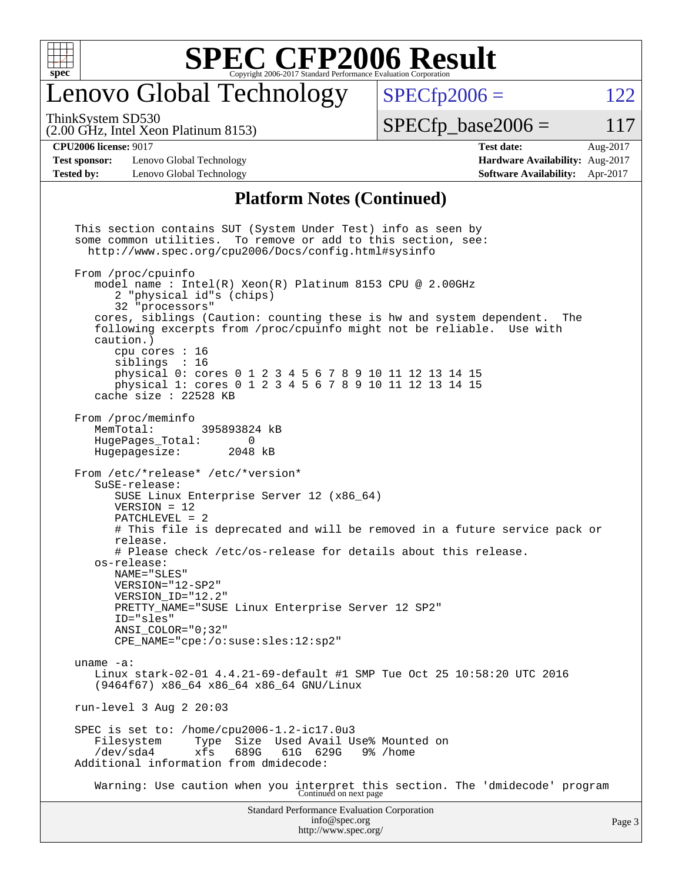

### enovo Global Technology

ThinkSystem SD530

(2.00 GHz, Intel Xeon Platinum 8153)

 $SPECTp2006 = 122$ 

 $SPECTp\_base2006 = 117$ 

**[CPU2006 license:](http://www.spec.org/auto/cpu2006/Docs/result-fields.html#CPU2006license)** 9017 **[Test date:](http://www.spec.org/auto/cpu2006/Docs/result-fields.html#Testdate)** Aug-2017

**[Test sponsor:](http://www.spec.org/auto/cpu2006/Docs/result-fields.html#Testsponsor)** Lenovo Global Technology **[Hardware Availability:](http://www.spec.org/auto/cpu2006/Docs/result-fields.html#HardwareAvailability)** Aug-2017 **[Tested by:](http://www.spec.org/auto/cpu2006/Docs/result-fields.html#Testedby)** Lenovo Global Technology **[Software Availability:](http://www.spec.org/auto/cpu2006/Docs/result-fields.html#SoftwareAvailability)** Apr-2017

#### **[Platform Notes \(Continued\)](http://www.spec.org/auto/cpu2006/Docs/result-fields.html#PlatformNotes)**

Standard Performance Evaluation Corporation [info@spec.org](mailto:info@spec.org) This section contains SUT (System Under Test) info as seen by some common utilities. To remove or add to this section, see: <http://www.spec.org/cpu2006/Docs/config.html#sysinfo> From /proc/cpuinfo model name : Intel(R) Xeon(R) Platinum 8153 CPU @ 2.00GHz 2 "physical id"s (chips) 32 "processors" cores, siblings (Caution: counting these is hw and system dependent. The following excerpts from /proc/cpuinfo might not be reliable. Use with caution.) cpu cores : 16 siblings : 16 physical 0: cores 0 1 2 3 4 5 6 7 8 9 10 11 12 13 14 15 physical 1: cores 0 1 2 3 4 5 6 7 8 9 10 11 12 13 14 15 cache size : 22528 KB From /proc/meminfo<br>MemTotal: 395893824 kB HugePages\_Total: 0 Hugepagesize: 2048 kB From /etc/\*release\* /etc/\*version\* SuSE-release: SUSE Linux Enterprise Server 12 (x86\_64) VERSION = 12 PATCHLEVEL = 2 # This file is deprecated and will be removed in a future service pack or release. # Please check /etc/os-release for details about this release. os-release: NAME="SLES" VERSION="12-SP2" VERSION\_ID="12.2" PRETTY\_NAME="SUSE Linux Enterprise Server 12 SP2" ID="sles" ANSI\_COLOR="0;32" CPE\_NAME="cpe:/o:suse:sles:12:sp2" uname -a: Linux stark-02-01 4.4.21-69-default #1 SMP Tue Oct 25 10:58:20 UTC 2016 (9464f67) x86\_64 x86\_64 x86\_64 GNU/Linux run-level 3 Aug 2 20:03 SPEC is set to: /home/cpu2006-1.2-ic17.0u3 Filesystem Type Size Used Avail Use% Mounted on<br>
/dev/sda4 xfs 689G 61G 629G 9% /home /dev/sda4 xfs 689G 61G 629G 9% /home Additional information from dmidecode: Warning: Use caution when you interpret this section. The 'dmidecode' program Continued on next page

<http://www.spec.org/>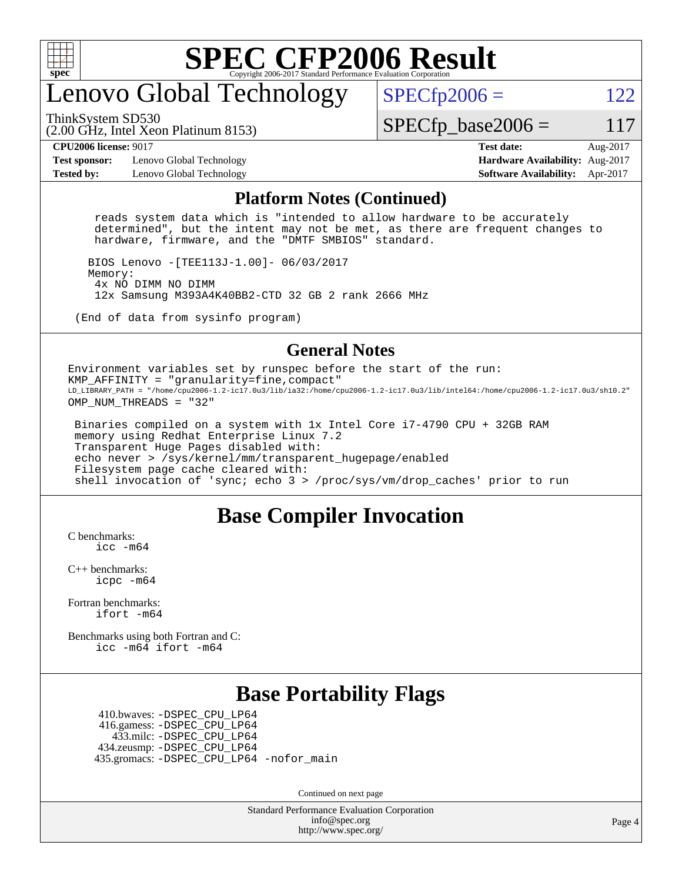

## enovo Global Technology

ThinkSystem SD530

 $SPECTp2006 = 122$ 

(2.00 GHz, Intel Xeon Platinum 8153)

 $SPECTp\_base2006 = 117$ 

**[Test sponsor:](http://www.spec.org/auto/cpu2006/Docs/result-fields.html#Testsponsor)** Lenovo Global Technology **[Hardware Availability:](http://www.spec.org/auto/cpu2006/Docs/result-fields.html#HardwareAvailability)** Aug-2017 **[Tested by:](http://www.spec.org/auto/cpu2006/Docs/result-fields.html#Testedby)** Lenovo Global Technology **[Software Availability:](http://www.spec.org/auto/cpu2006/Docs/result-fields.html#SoftwareAvailability)** Apr-2017

**[CPU2006 license:](http://www.spec.org/auto/cpu2006/Docs/result-fields.html#CPU2006license)** 9017 **[Test date:](http://www.spec.org/auto/cpu2006/Docs/result-fields.html#Testdate)** Aug-2017

#### **[Platform Notes \(Continued\)](http://www.spec.org/auto/cpu2006/Docs/result-fields.html#PlatformNotes)**

 reads system data which is "intended to allow hardware to be accurately determined", but the intent may not be met, as there are frequent changes to hardware, firmware, and the "DMTF SMBIOS" standard.

 BIOS Lenovo -[TEE113J-1.00]- 06/03/2017 Memory: 4x NO DIMM NO DIMM 12x Samsung M393A4K40BB2-CTD 32 GB 2 rank 2666 MHz

(End of data from sysinfo program)

#### **[General Notes](http://www.spec.org/auto/cpu2006/Docs/result-fields.html#GeneralNotes)**

Environment variables set by runspec before the start of the run: KMP\_AFFINITY = "granularity=fine,compact" LD\_LIBRARY\_PATH = "/home/cpu2006-1.2-ic17.0u3/lib/ia32:/home/cpu2006-1.2-ic17.0u3/lib/intel64:/home/cpu2006-1.2-ic17.0u3/sh10.2" OMP NUM THREADS = "32"

 Binaries compiled on a system with 1x Intel Core i7-4790 CPU + 32GB RAM memory using Redhat Enterprise Linux 7.2 Transparent Huge Pages disabled with: echo never > /sys/kernel/mm/transparent\_hugepage/enabled Filesystem page cache cleared with: shell invocation of 'sync; echo 3 > /proc/sys/vm/drop\_caches' prior to run

#### **[Base Compiler Invocation](http://www.spec.org/auto/cpu2006/Docs/result-fields.html#BaseCompilerInvocation)**

[C benchmarks](http://www.spec.org/auto/cpu2006/Docs/result-fields.html#Cbenchmarks): [icc -m64](http://www.spec.org/cpu2006/results/res2017q4/cpu2006-20170918-49674.flags.html#user_CCbase_intel_icc_64bit_bda6cc9af1fdbb0edc3795bac97ada53)

[C++ benchmarks:](http://www.spec.org/auto/cpu2006/Docs/result-fields.html#CXXbenchmarks) [icpc -m64](http://www.spec.org/cpu2006/results/res2017q4/cpu2006-20170918-49674.flags.html#user_CXXbase_intel_icpc_64bit_fc66a5337ce925472a5c54ad6a0de310)

[Fortran benchmarks](http://www.spec.org/auto/cpu2006/Docs/result-fields.html#Fortranbenchmarks): [ifort -m64](http://www.spec.org/cpu2006/results/res2017q4/cpu2006-20170918-49674.flags.html#user_FCbase_intel_ifort_64bit_ee9d0fb25645d0210d97eb0527dcc06e)

[Benchmarks using both Fortran and C](http://www.spec.org/auto/cpu2006/Docs/result-fields.html#BenchmarksusingbothFortranandC): [icc -m64](http://www.spec.org/cpu2006/results/res2017q4/cpu2006-20170918-49674.flags.html#user_CC_FCbase_intel_icc_64bit_bda6cc9af1fdbb0edc3795bac97ada53) [ifort -m64](http://www.spec.org/cpu2006/results/res2017q4/cpu2006-20170918-49674.flags.html#user_CC_FCbase_intel_ifort_64bit_ee9d0fb25645d0210d97eb0527dcc06e)

#### **[Base Portability Flags](http://www.spec.org/auto/cpu2006/Docs/result-fields.html#BasePortabilityFlags)**

 410.bwaves: [-DSPEC\\_CPU\\_LP64](http://www.spec.org/cpu2006/results/res2017q4/cpu2006-20170918-49674.flags.html#suite_basePORTABILITY410_bwaves_DSPEC_CPU_LP64) 416.gamess: [-DSPEC\\_CPU\\_LP64](http://www.spec.org/cpu2006/results/res2017q4/cpu2006-20170918-49674.flags.html#suite_basePORTABILITY416_gamess_DSPEC_CPU_LP64) 433.milc: [-DSPEC\\_CPU\\_LP64](http://www.spec.org/cpu2006/results/res2017q4/cpu2006-20170918-49674.flags.html#suite_basePORTABILITY433_milc_DSPEC_CPU_LP64) 434.zeusmp: [-DSPEC\\_CPU\\_LP64](http://www.spec.org/cpu2006/results/res2017q4/cpu2006-20170918-49674.flags.html#suite_basePORTABILITY434_zeusmp_DSPEC_CPU_LP64) 435.gromacs: [-DSPEC\\_CPU\\_LP64](http://www.spec.org/cpu2006/results/res2017q4/cpu2006-20170918-49674.flags.html#suite_basePORTABILITY435_gromacs_DSPEC_CPU_LP64) [-nofor\\_main](http://www.spec.org/cpu2006/results/res2017q4/cpu2006-20170918-49674.flags.html#user_baseLDPORTABILITY435_gromacs_f-nofor_main)

Continued on next page

Standard Performance Evaluation Corporation [info@spec.org](mailto:info@spec.org) <http://www.spec.org/>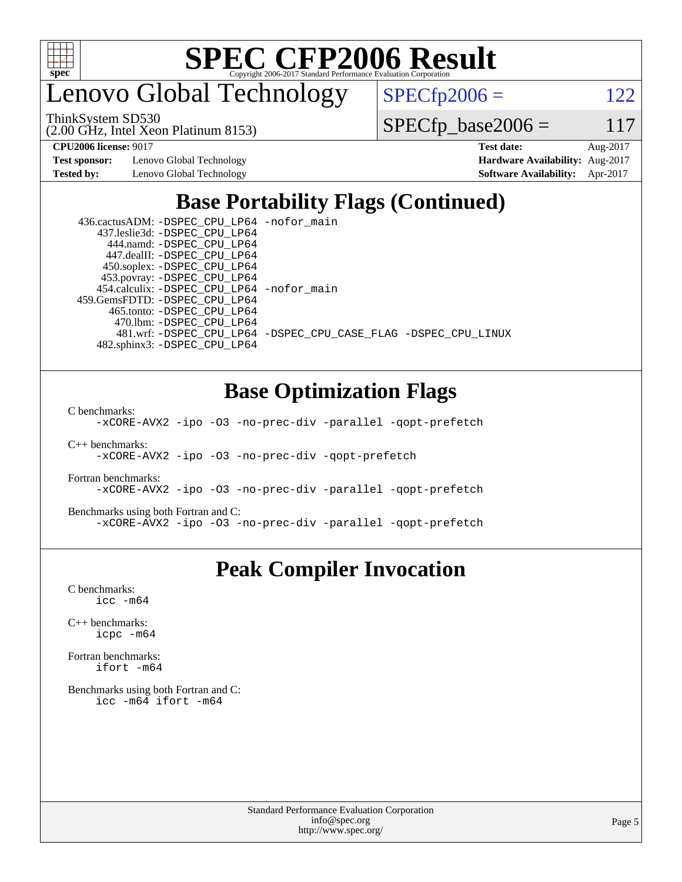

enovo Global Technology

(2.00 GHz, Intel Xeon Platinum 8153) ThinkSystem SD530

 $SPECTp2006 = 122$ 

 $SPECfp\_base2006 = 117$ 

**[Test sponsor:](http://www.spec.org/auto/cpu2006/Docs/result-fields.html#Testsponsor)** Lenovo Global Technology **[Hardware Availability:](http://www.spec.org/auto/cpu2006/Docs/result-fields.html#HardwareAvailability)** Aug-2017

**[CPU2006 license:](http://www.spec.org/auto/cpu2006/Docs/result-fields.html#CPU2006license)** 9017 **[Test date:](http://www.spec.org/auto/cpu2006/Docs/result-fields.html#Testdate)** Aug-2017 **[Tested by:](http://www.spec.org/auto/cpu2006/Docs/result-fields.html#Testedby)** Lenovo Global Technology **[Software Availability:](http://www.spec.org/auto/cpu2006/Docs/result-fields.html#SoftwareAvailability)** Apr-2017

### **[Base Portability Flags \(Continued\)](http://www.spec.org/auto/cpu2006/Docs/result-fields.html#BasePortabilityFlags)**

| 436.cactusADM: -DSPEC CPU LP64 -nofor main  |                                                                |
|---------------------------------------------|----------------------------------------------------------------|
| 437.leslie3d: -DSPEC CPU LP64               |                                                                |
| 444.namd: - DSPEC CPU LP64                  |                                                                |
| 447.dealII: -DSPEC CPU LP64                 |                                                                |
| 450.soplex: -DSPEC_CPU_LP64                 |                                                                |
| 453.povray: -DSPEC_CPU_LP64                 |                                                                |
| 454.calculix: - DSPEC CPU LP64 - nofor main |                                                                |
| 459.GemsFDTD: -DSPEC CPU LP64               |                                                                |
| 465.tonto: -DSPEC CPU LP64                  |                                                                |
| 470.1bm: -DSPEC CPU LP64                    |                                                                |
|                                             | 481.wrf: -DSPEC CPU_LP64 -DSPEC_CPU_CASE_FLAG -DSPEC_CPU_LINUX |
| 482.sphinx3: -DSPEC CPU LP64                |                                                                |

### **[Base Optimization Flags](http://www.spec.org/auto/cpu2006/Docs/result-fields.html#BaseOptimizationFlags)**

[C benchmarks](http://www.spec.org/auto/cpu2006/Docs/result-fields.html#Cbenchmarks):

[-xCORE-AVX2](http://www.spec.org/cpu2006/results/res2017q4/cpu2006-20170918-49674.flags.html#user_CCbase_f-xCORE-AVX2) [-ipo](http://www.spec.org/cpu2006/results/res2017q4/cpu2006-20170918-49674.flags.html#user_CCbase_f-ipo) [-O3](http://www.spec.org/cpu2006/results/res2017q4/cpu2006-20170918-49674.flags.html#user_CCbase_f-O3) [-no-prec-div](http://www.spec.org/cpu2006/results/res2017q4/cpu2006-20170918-49674.flags.html#user_CCbase_f-no-prec-div) [-parallel](http://www.spec.org/cpu2006/results/res2017q4/cpu2006-20170918-49674.flags.html#user_CCbase_f-parallel) [-qopt-prefetch](http://www.spec.org/cpu2006/results/res2017q4/cpu2006-20170918-49674.flags.html#user_CCbase_f-qopt-prefetch)

[C++ benchmarks:](http://www.spec.org/auto/cpu2006/Docs/result-fields.html#CXXbenchmarks) [-xCORE-AVX2](http://www.spec.org/cpu2006/results/res2017q4/cpu2006-20170918-49674.flags.html#user_CXXbase_f-xCORE-AVX2) [-ipo](http://www.spec.org/cpu2006/results/res2017q4/cpu2006-20170918-49674.flags.html#user_CXXbase_f-ipo) [-O3](http://www.spec.org/cpu2006/results/res2017q4/cpu2006-20170918-49674.flags.html#user_CXXbase_f-O3) [-no-prec-div](http://www.spec.org/cpu2006/results/res2017q4/cpu2006-20170918-49674.flags.html#user_CXXbase_f-no-prec-div) [-qopt-prefetch](http://www.spec.org/cpu2006/results/res2017q4/cpu2006-20170918-49674.flags.html#user_CXXbase_f-qopt-prefetch)

[Fortran benchmarks](http://www.spec.org/auto/cpu2006/Docs/result-fields.html#Fortranbenchmarks): [-xCORE-AVX2](http://www.spec.org/cpu2006/results/res2017q4/cpu2006-20170918-49674.flags.html#user_FCbase_f-xCORE-AVX2) [-ipo](http://www.spec.org/cpu2006/results/res2017q4/cpu2006-20170918-49674.flags.html#user_FCbase_f-ipo) [-O3](http://www.spec.org/cpu2006/results/res2017q4/cpu2006-20170918-49674.flags.html#user_FCbase_f-O3) [-no-prec-div](http://www.spec.org/cpu2006/results/res2017q4/cpu2006-20170918-49674.flags.html#user_FCbase_f-no-prec-div) [-parallel](http://www.spec.org/cpu2006/results/res2017q4/cpu2006-20170918-49674.flags.html#user_FCbase_f-parallel) [-qopt-prefetch](http://www.spec.org/cpu2006/results/res2017q4/cpu2006-20170918-49674.flags.html#user_FCbase_f-qopt-prefetch)

[Benchmarks using both Fortran and C](http://www.spec.org/auto/cpu2006/Docs/result-fields.html#BenchmarksusingbothFortranandC): [-xCORE-AVX2](http://www.spec.org/cpu2006/results/res2017q4/cpu2006-20170918-49674.flags.html#user_CC_FCbase_f-xCORE-AVX2) [-ipo](http://www.spec.org/cpu2006/results/res2017q4/cpu2006-20170918-49674.flags.html#user_CC_FCbase_f-ipo) [-O3](http://www.spec.org/cpu2006/results/res2017q4/cpu2006-20170918-49674.flags.html#user_CC_FCbase_f-O3) [-no-prec-div](http://www.spec.org/cpu2006/results/res2017q4/cpu2006-20170918-49674.flags.html#user_CC_FCbase_f-no-prec-div) [-parallel](http://www.spec.org/cpu2006/results/res2017q4/cpu2006-20170918-49674.flags.html#user_CC_FCbase_f-parallel) [-qopt-prefetch](http://www.spec.org/cpu2006/results/res2017q4/cpu2006-20170918-49674.flags.html#user_CC_FCbase_f-qopt-prefetch)

#### **[Peak Compiler Invocation](http://www.spec.org/auto/cpu2006/Docs/result-fields.html#PeakCompilerInvocation)**

[C benchmarks](http://www.spec.org/auto/cpu2006/Docs/result-fields.html#Cbenchmarks): [icc -m64](http://www.spec.org/cpu2006/results/res2017q4/cpu2006-20170918-49674.flags.html#user_CCpeak_intel_icc_64bit_bda6cc9af1fdbb0edc3795bac97ada53)

[C++ benchmarks:](http://www.spec.org/auto/cpu2006/Docs/result-fields.html#CXXbenchmarks) [icpc -m64](http://www.spec.org/cpu2006/results/res2017q4/cpu2006-20170918-49674.flags.html#user_CXXpeak_intel_icpc_64bit_fc66a5337ce925472a5c54ad6a0de310)

[Fortran benchmarks](http://www.spec.org/auto/cpu2006/Docs/result-fields.html#Fortranbenchmarks): [ifort -m64](http://www.spec.org/cpu2006/results/res2017q4/cpu2006-20170918-49674.flags.html#user_FCpeak_intel_ifort_64bit_ee9d0fb25645d0210d97eb0527dcc06e)

[Benchmarks using both Fortran and C](http://www.spec.org/auto/cpu2006/Docs/result-fields.html#BenchmarksusingbothFortranandC): [icc -m64](http://www.spec.org/cpu2006/results/res2017q4/cpu2006-20170918-49674.flags.html#user_CC_FCpeak_intel_icc_64bit_bda6cc9af1fdbb0edc3795bac97ada53) [ifort -m64](http://www.spec.org/cpu2006/results/res2017q4/cpu2006-20170918-49674.flags.html#user_CC_FCpeak_intel_ifort_64bit_ee9d0fb25645d0210d97eb0527dcc06e)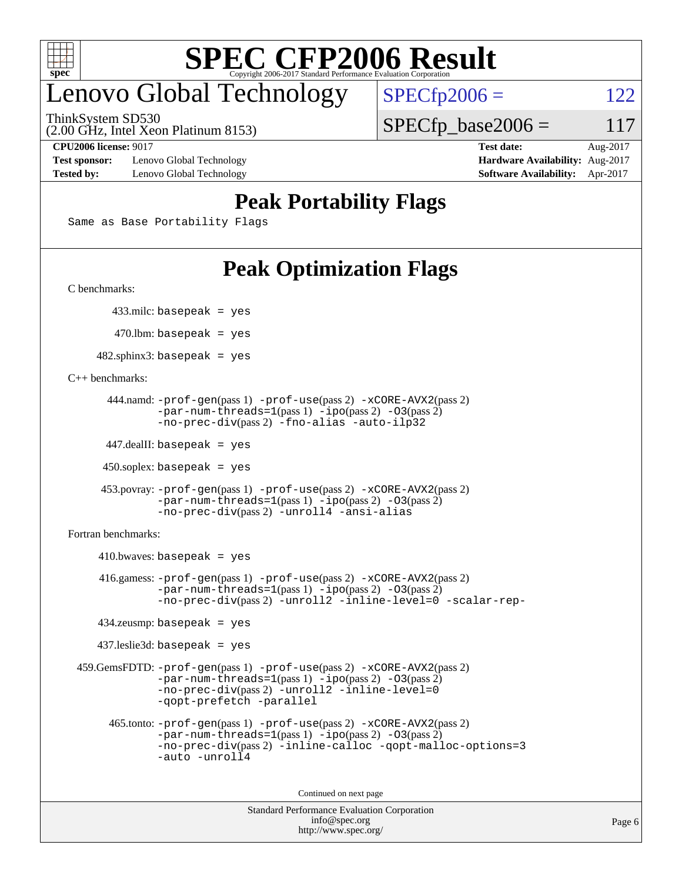

## enovo Global Technology

ThinkSystem SD530

 $SPECTp2006 = 122$ 

 $SPECTp\_base2006 = 117$ 

(2.00 GHz, Intel Xeon Platinum 8153)

**[Test sponsor:](http://www.spec.org/auto/cpu2006/Docs/result-fields.html#Testsponsor)** Lenovo Global Technology **[Hardware Availability:](http://www.spec.org/auto/cpu2006/Docs/result-fields.html#HardwareAvailability)** Aug-2017 **[Tested by:](http://www.spec.org/auto/cpu2006/Docs/result-fields.html#Testedby)** Lenovo Global Technology **[Software Availability:](http://www.spec.org/auto/cpu2006/Docs/result-fields.html#SoftwareAvailability)** Apr-2017

**[CPU2006 license:](http://www.spec.org/auto/cpu2006/Docs/result-fields.html#CPU2006license)** 9017 **[Test date:](http://www.spec.org/auto/cpu2006/Docs/result-fields.html#Testdate)** Aug-2017

### **[Peak Portability Flags](http://www.spec.org/auto/cpu2006/Docs/result-fields.html#PeakPortabilityFlags)**

Same as Base Portability Flags

### **[Peak Optimization Flags](http://www.spec.org/auto/cpu2006/Docs/result-fields.html#PeakOptimizationFlags)**

[C benchmarks](http://www.spec.org/auto/cpu2006/Docs/result-fields.html#Cbenchmarks):

433.milc: basepeak = yes

 $470.$ lbm: basepeak = yes

 $482$ .sphinx3: basepeak = yes

#### [C++ benchmarks:](http://www.spec.org/auto/cpu2006/Docs/result-fields.html#CXXbenchmarks)

```
 444.namd: -prof-gen(pass 1) -prof-use(pass 2) -xCORE-AVX2(pass 2)
        -par-num-threads=1(pass 1) -ipo(pass 2) -O3(pass 2)
        -no-prec-div(pass 2) -fno-alias -auto-ilp32
```
447.dealII: basepeak = yes

 $450$ .soplex: basepeak = yes

```
 453.povray: -prof-gen(pass 1) -prof-use(pass 2) -xCORE-AVX2(pass 2)
         -par-num-threads=1-ipo-O3(pass 2)-no-prec-div(pass 2) -unroll4 -ansi-alias
```
[Fortran benchmarks](http://www.spec.org/auto/cpu2006/Docs/result-fields.html#Fortranbenchmarks):

```
410.bwaves: basepeak = yes 416.gamess: -prof-gen(pass 1) -prof-use(pass 2) -xCORE-AVX2(pass 2)
            -par-num-threads=1-ipo-O3(pass 2)-no-prec-div(pass 2) -unroll2 -inline-level=0 -scalar-rep-
    434.zeusmp: basepeak = yes
    437.leslie3d: basepeak = yes
 459.GemsFDTD: -prof-gen(pass 1) -prof-use(pass 2) -xCORE-AVX2(pass 2)
            -par-num-threads=1-ipo-O3(pass 2)-no-prec-div(pass 2) -unroll2 -inline-level=0
            -qopt-prefetch -parallel
      465.tonto: -prof-gen(pass 1) -prof-use(pass 2) -xCORE-AVX2(pass 2)
            -par-num-threads=1(pass 1) -ipo(pass 2) -O3(pass 2)
            -no-prec-div-inline-calloc-qopt-malloc-options=3
            -auto -unroll4
```
Continued on next page

```
Standard Performance Evaluation Corporation
             info@spec.org
           http://www.spec.org/
```